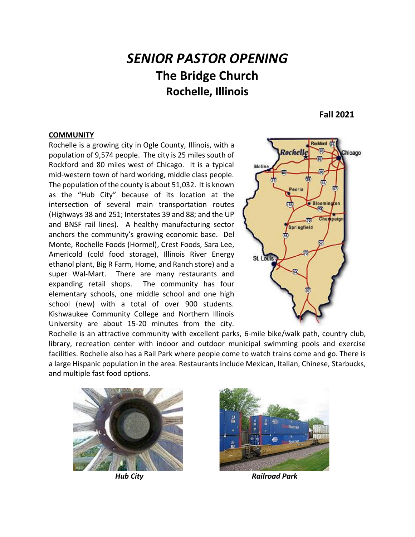# *SENIOR PASTOR OPENING* **The Bridge Church Rochelle, Illinois**

**Fall 2021**

#### **COMMUNITY**

Rochelle is a growing city in Ogle County, Illinois, with a population of 9,574 people. The city is 25 miles south of Rockford and 80 miles west of Chicago. It is a typical mid-western town of hard working, middle class people. The population of the county is about 51,032. It is known as the "Hub City" because of its location at the intersection of several main transportation routes (Highways 38 and 251; Interstates 39 and 88; and the UP and BNSF rail lines). A healthy manufacturing sector anchors the community's growing economic base. Del Monte, Rochelle Foods (Hormel), Crest Foods, Sara Lee, Americold (cold food storage), Illinois River Energy ethanol plant, Big R Farm, Home, and Ranch store) and a super Wal-Mart. There are many restaurants and expanding retail shops. The community has four elementary schools, one middle school and one high school (new) with a total of over 900 students. Kishwaukee Community College and Northern Illinois University are about 15-20 minutes from the city.



Rochelle is an attractive community with excellent parks, 6-mile bike/walk path, country club, library, recreation center with indoor and outdoor municipal swimming pools and exercise facilities. Rochelle also has a Rail Park where people come to watch trains come and go. There is a large Hispanic population in the area. Restaurants include Mexican, Italian, Chinese, Starbucks, and multiple fast food options.





 *Hub City Railroad Park*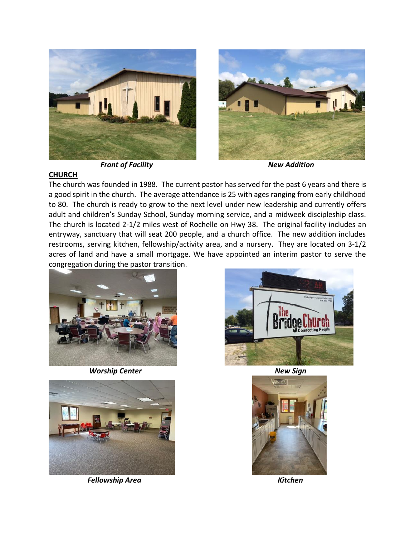

*Front of Facility* And *New Addition* 



### **CHURCH**

The church was founded in 1988. The current pastor has served for the past 6 years and there is a good spirit in the church. The average attendance is 25 with ages ranging from early childhood to 80. The church is ready to grow to the next level under new leadership and currently offers adult and children's Sunday School, Sunday morning service, and a midweek discipleship class. The church is located 2-1/2 miles west of Rochelle on Hwy 38. The original facility includes an entryway, sanctuary that will seat 200 people, and a church office. The new addition includes restrooms, serving kitchen, fellowship/activity area, and a nursery. They are located on 3-1/2 acres of land and have a small mortgage. We have appointed an interim pastor to serve the congregation during the pastor transition.



*Worship Center* New Sign



*Fellowship Area* Kitchen